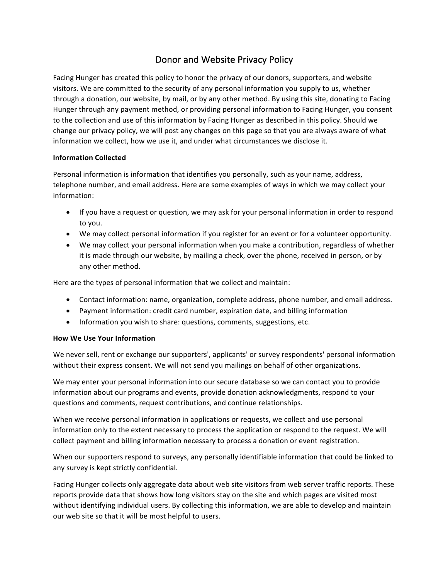# Donor and Website Privacy Policy

Facing Hunger has created this policy to honor the privacy of our donors, supporters, and website visitors. We are committed to the security of any personal information you supply to us, whether through a donation, our website, by mail, or by any other method. By using this site, donating to Facing Hunger through any payment method, or providing personal information to Facing Hunger, you consent to the collection and use of this information by Facing Hunger as described in this policy. Should we change our privacy policy, we will post any changes on this page so that you are always aware of what information we collect, how we use it, and under what circumstances we disclose it.

## **Information Collected**

Personal information is information that identifies you personally, such as your name, address, telephone number, and email address. Here are some examples of ways in which we may collect your information:

- If you have a request or question, we may ask for your personal information in order to respond to you.
- We may collect personal information if you register for an event or for a volunteer opportunity.
- We may collect your personal information when you make a contribution, regardless of whether it is made through our website, by mailing a check, over the phone, received in person, or by any other method.

Here are the types of personal information that we collect and maintain:

- Contact information: name, organization, complete address, phone number, and email address.
- Payment information: credit card number, expiration date, and billing information
- Information you wish to share: questions, comments, suggestions, etc.

## **How We Use Your Information**

We never sell, rent or exchange our supporters', applicants' or survey respondents' personal information without their express consent. We will not send you mailings on behalf of other organizations.

We may enter your personal information into our secure database so we can contact you to provide information about our programs and events, provide donation acknowledgments, respond to your questions and comments, request contributions, and continue relationships.

When we receive personal information in applications or requests, we collect and use personal information only to the extent necessary to process the application or respond to the request. We will collect payment and billing information necessary to process a donation or event registration.

When our supporters respond to surveys, any personally identifiable information that could be linked to any survey is kept strictly confidential.

Facing Hunger collects only aggregate data about web site visitors from web server traffic reports. These reports provide data that shows how long visitors stay on the site and which pages are visited most without identifying individual users. By collecting this information, we are able to develop and maintain our web site so that it will be most helpful to users.